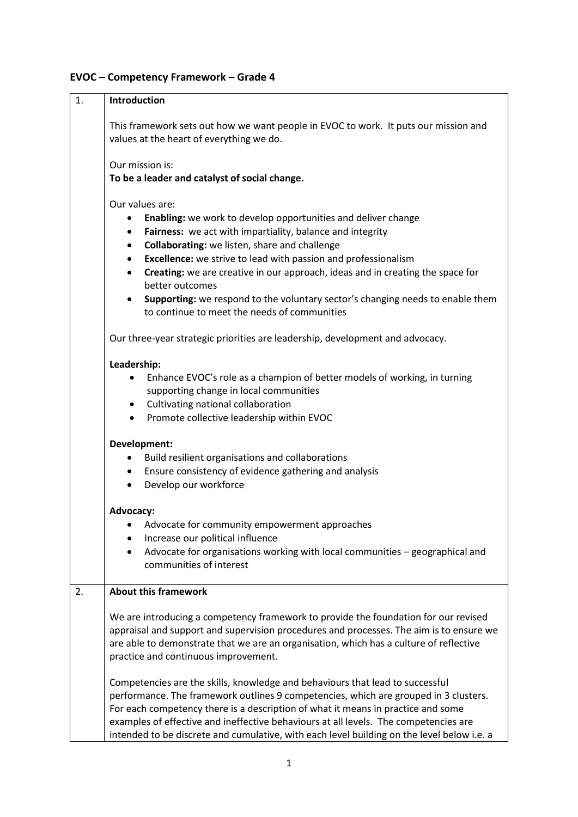# **EVOC – Competency Framework – Grade 4**

| 1. | Introduction                                                                                                                                                                                                                                                                                                                                                                                                                                                                                                                                                                 |  |
|----|------------------------------------------------------------------------------------------------------------------------------------------------------------------------------------------------------------------------------------------------------------------------------------------------------------------------------------------------------------------------------------------------------------------------------------------------------------------------------------------------------------------------------------------------------------------------------|--|
|    | This framework sets out how we want people in EVOC to work. It puts our mission and<br>values at the heart of everything we do.                                                                                                                                                                                                                                                                                                                                                                                                                                              |  |
|    | Our mission is:<br>To be a leader and catalyst of social change.                                                                                                                                                                                                                                                                                                                                                                                                                                                                                                             |  |
|    | Our values are:<br>Enabling: we work to develop opportunities and deliver change<br>٠<br>Fairness: we act with impartiality, balance and integrity<br>$\bullet$<br>Collaborating: we listen, share and challenge<br>$\bullet$<br><b>Excellence:</b> we strive to lead with passion and professionalism<br>$\bullet$<br>Creating: we are creative in our approach, ideas and in creating the space for<br>$\bullet$<br>better outcomes<br>Supporting: we respond to the voluntary sector's changing needs to enable them<br>٠<br>to continue to meet the needs of communities |  |
|    | Our three-year strategic priorities are leadership, development and advocacy.                                                                                                                                                                                                                                                                                                                                                                                                                                                                                                |  |
|    | Leadership:<br>Enhance EVOC's role as a champion of better models of working, in turning<br>supporting change in local communities<br>• Cultivating national collaboration<br>• Promote collective leadership within EVOC                                                                                                                                                                                                                                                                                                                                                    |  |
|    | Development:<br>Build resilient organisations and collaborations<br>$\bullet$<br>• Ensure consistency of evidence gathering and analysis<br>Develop our workforce<br>$\bullet$                                                                                                                                                                                                                                                                                                                                                                                               |  |
|    | Advocacy:<br>Advocate for community empowerment approaches<br>Increase our political influence<br>Advocate for organisations working with local communities - geographical and<br>communities of interest                                                                                                                                                                                                                                                                                                                                                                    |  |
| 2. | <b>About this framework</b>                                                                                                                                                                                                                                                                                                                                                                                                                                                                                                                                                  |  |
|    | We are introducing a competency framework to provide the foundation for our revised<br>appraisal and support and supervision procedures and processes. The aim is to ensure we<br>are able to demonstrate that we are an organisation, which has a culture of reflective<br>practice and continuous improvement.                                                                                                                                                                                                                                                             |  |
|    | Competencies are the skills, knowledge and behaviours that lead to successful<br>performance. The framework outlines 9 competencies, which are grouped in 3 clusters.<br>For each competency there is a description of what it means in practice and some<br>examples of effective and ineffective behaviours at all levels. The competencies are<br>intended to be discrete and cumulative, with each level building on the level below i.e. a                                                                                                                              |  |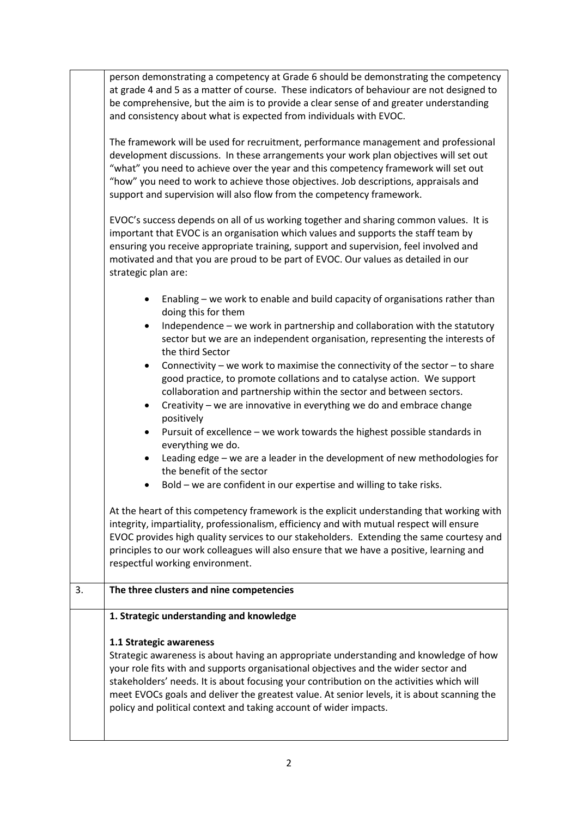|    | person demonstrating a competency at Grade 6 should be demonstrating the competency<br>at grade 4 and 5 as a matter of course. These indicators of behaviour are not designed to<br>be comprehensive, but the aim is to provide a clear sense of and greater understanding<br>and consistency about what is expected from individuals with EVOC.<br>The framework will be used for recruitment, performance management and professional<br>development discussions. In these arrangements your work plan objectives will set out<br>"what" you need to achieve over the year and this competency framework will set out<br>"how" you need to work to achieve those objectives. Job descriptions, appraisals and<br>support and supervision will also flow from the competency framework.<br>EVOC's success depends on all of us working together and sharing common values. It is<br>important that EVOC is an organisation which values and supports the staff team by<br>ensuring you receive appropriate training, support and supervision, feel involved and<br>motivated and that you are proud to be part of EVOC. Our values as detailed in our<br>strategic plan are: |  |
|----|-------------------------------------------------------------------------------------------------------------------------------------------------------------------------------------------------------------------------------------------------------------------------------------------------------------------------------------------------------------------------------------------------------------------------------------------------------------------------------------------------------------------------------------------------------------------------------------------------------------------------------------------------------------------------------------------------------------------------------------------------------------------------------------------------------------------------------------------------------------------------------------------------------------------------------------------------------------------------------------------------------------------------------------------------------------------------------------------------------------------------------------------------------------------------------|--|
|    | Enabling - we work to enable and build capacity of organisations rather than<br>٠<br>doing this for them<br>Independence - we work in partnership and collaboration with the statutory<br>$\bullet$<br>sector but we are an independent organisation, representing the interests of<br>the third Sector<br>Connectivity – we work to maximise the connectivity of the sector – to share<br>٠<br>good practice, to promote collations and to catalyse action. We support<br>collaboration and partnership within the sector and between sectors.<br>Creativity – we are innovative in everything we do and embrace change<br>positively<br>Pursuit of excellence - we work towards the highest possible standards in<br>$\bullet$<br>everything we do.<br>Leading edge - we are a leader in the development of new methodologies for<br>٠<br>the benefit of the sector<br>Bold – we are confident in our expertise and willing to take risks.                                                                                                                                                                                                                                  |  |
|    | At the heart of this competency framework is the explicit understanding that working with<br>integrity, impartiality, professionalism, efficiency and with mutual respect will ensure<br>EVOC provides high quality services to our stakeholders. Extending the same courtesy and<br>principles to our work colleagues will also ensure that we have a positive, learning and<br>respectful working environment.                                                                                                                                                                                                                                                                                                                                                                                                                                                                                                                                                                                                                                                                                                                                                              |  |
| 3. | The three clusters and nine competencies                                                                                                                                                                                                                                                                                                                                                                                                                                                                                                                                                                                                                                                                                                                                                                                                                                                                                                                                                                                                                                                                                                                                      |  |
|    | 1. Strategic understanding and knowledge                                                                                                                                                                                                                                                                                                                                                                                                                                                                                                                                                                                                                                                                                                                                                                                                                                                                                                                                                                                                                                                                                                                                      |  |
|    | 1.1 Strategic awareness<br>Strategic awareness is about having an appropriate understanding and knowledge of how<br>your role fits with and supports organisational objectives and the wider sector and<br>stakeholders' needs. It is about focusing your contribution on the activities which will<br>meet EVOCs goals and deliver the greatest value. At senior levels, it is about scanning the<br>policy and political context and taking account of wider impacts.                                                                                                                                                                                                                                                                                                                                                                                                                                                                                                                                                                                                                                                                                                       |  |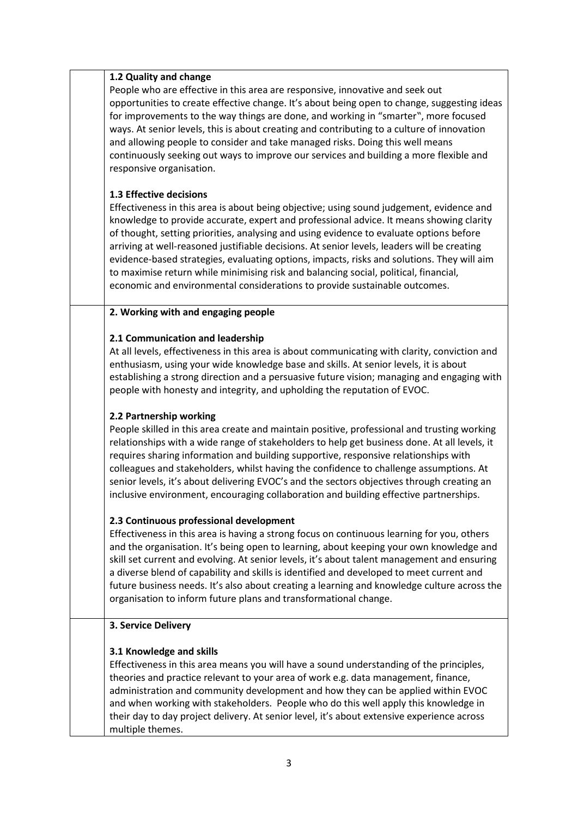### **1.2 Quality and change**

People who are effective in this area are responsive, innovative and seek out opportunities to create effective change. It's about being open to change, suggesting ideas for improvements to the way things are done, and working in "smarter", more focused ways. At senior levels, this is about creating and contributing to a culture of innovation and allowing people to consider and take managed risks. Doing this well means continuously seeking out ways to improve our services and building a more flexible and responsive organisation.

### **1.3 Effective decisions**

Effectiveness in this area is about being objective; using sound judgement, evidence and knowledge to provide accurate, expert and professional advice. It means showing clarity of thought, setting priorities, analysing and using evidence to evaluate options before arriving at well-reasoned justifiable decisions. At senior levels, leaders will be creating evidence-based strategies, evaluating options, impacts, risks and solutions. They will aim to maximise return while minimising risk and balancing social, political, financial, economic and environmental considerations to provide sustainable outcomes.

### **2. Working with and engaging people**

### **2.1 Communication and leadership**

At all levels, effectiveness in this area is about communicating with clarity, conviction and enthusiasm, using your wide knowledge base and skills. At senior levels, it is about establishing a strong direction and a persuasive future vision; managing and engaging with people with honesty and integrity, and upholding the reputation of EVOC.

# **2.2 Partnership working**

People skilled in this area create and maintain positive, professional and trusting working relationships with a wide range of stakeholders to help get business done. At all levels, it requires sharing information and building supportive, responsive relationships with colleagues and stakeholders, whilst having the confidence to challenge assumptions. At senior levels, it's about delivering EVOC's and the sectors objectives through creating an inclusive environment, encouraging collaboration and building effective partnerships.

# **2.3 Continuous professional development**

Effectiveness in this area is having a strong focus on continuous learning for you, others and the organisation. It's being open to learning, about keeping your own knowledge and skill set current and evolving. At senior levels, it's about talent management and ensuring a diverse blend of capability and skills is identified and developed to meet current and future business needs. It's also about creating a learning and knowledge culture across the organisation to inform future plans and transformational change.

#### **3. Service Delivery**

# **3.1 Knowledge and skills**

Effectiveness in this area means you will have a sound understanding of the principles, theories and practice relevant to your area of work e.g. data management, finance, administration and community development and how they can be applied within EVOC and when working with stakeholders. People who do this well apply this knowledge in their day to day project delivery. At senior level, it's about extensive experience across multiple themes.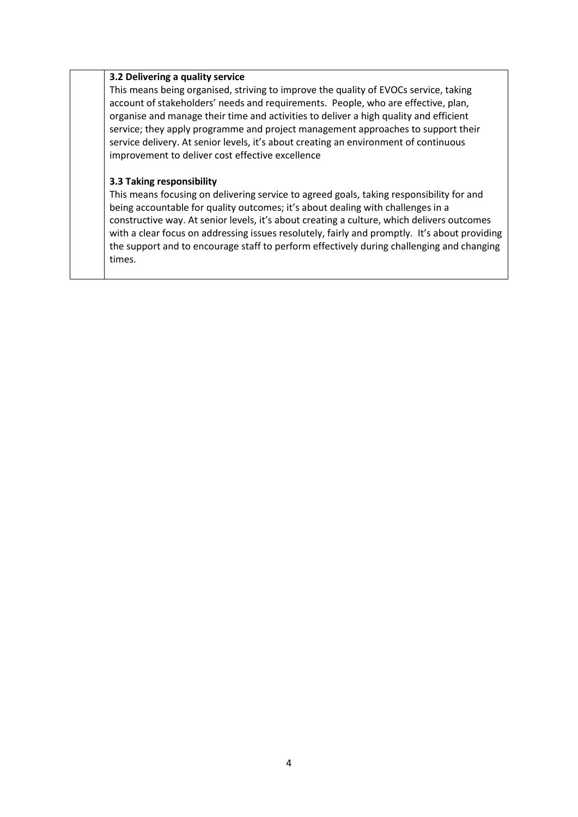#### **3.2 Delivering a quality service**

This means being organised, striving to improve the quality of EVOCs service, taking account of stakeholders' needs and requirements. People, who are effective, plan, organise and manage their time and activities to deliver a high quality and efficient service; they apply programme and project management approaches to support their service delivery. At senior levels, it's about creating an environment of continuous improvement to deliver cost effective excellence

### **3.3 Taking responsibility**

This means focusing on delivering service to agreed goals, taking responsibility for and being accountable for quality outcomes; it's about dealing with challenges in a constructive way. At senior levels, it's about creating a culture, which delivers outcomes with a clear focus on addressing issues resolutely, fairly and promptly. It's about providing the support and to encourage staff to perform effectively during challenging and changing times.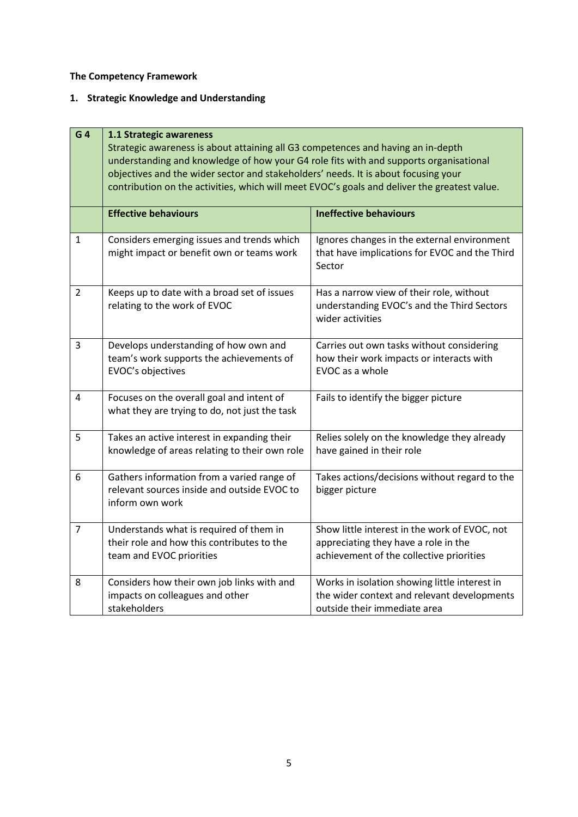**The Competency Framework** 

# **1. Strategic Knowledge and Understanding**

| G <sub>4</sub> | 1.1 Strategic awareness<br>Strategic awareness is about attaining all G3 competences and having an in-depth<br>understanding and knowledge of how your G4 role fits with and supports organisational |                                                                                                                                   |
|----------------|------------------------------------------------------------------------------------------------------------------------------------------------------------------------------------------------------|-----------------------------------------------------------------------------------------------------------------------------------|
|                | objectives and the wider sector and stakeholders' needs. It is about focusing your<br>contribution on the activities, which will meet EVOC's goals and deliver the greatest value.                   |                                                                                                                                   |
|                | <b>Effective behaviours</b>                                                                                                                                                                          | <b>Ineffective behaviours</b>                                                                                                     |
| $\mathbf{1}$   | Considers emerging issues and trends which<br>might impact or benefit own or teams work                                                                                                              | Ignores changes in the external environment<br>that have implications for EVOC and the Third<br>Sector                            |
| $\overline{2}$ | Keeps up to date with a broad set of issues<br>relating to the work of EVOC                                                                                                                          | Has a narrow view of their role, without<br>understanding EVOC's and the Third Sectors<br>wider activities                        |
| 3              | Develops understanding of how own and<br>team's work supports the achievements of<br>EVOC's objectives                                                                                               | Carries out own tasks without considering<br>how their work impacts or interacts with<br>EVOC as a whole                          |
| 4              | Focuses on the overall goal and intent of<br>what they are trying to do, not just the task                                                                                                           | Fails to identify the bigger picture                                                                                              |
| 5              | Takes an active interest in expanding their<br>knowledge of areas relating to their own role                                                                                                         | Relies solely on the knowledge they already<br>have gained in their role                                                          |
| 6              | Gathers information from a varied range of<br>relevant sources inside and outside EVOC to<br>inform own work                                                                                         | Takes actions/decisions without regard to the<br>bigger picture                                                                   |
| $\overline{7}$ | Understands what is required of them in<br>their role and how this contributes to the<br>team and EVOC priorities                                                                                    | Show little interest in the work of EVOC, not<br>appreciating they have a role in the<br>achievement of the collective priorities |
| 8              | Considers how their own job links with and<br>impacts on colleagues and other<br>stakeholders                                                                                                        | Works in isolation showing little interest in<br>the wider context and relevant developments<br>outside their immediate area      |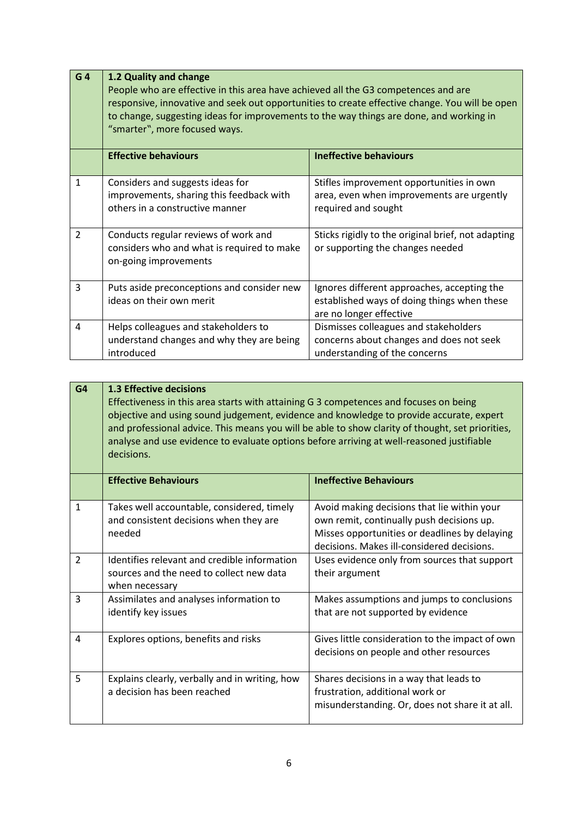| G <sub>4</sub> | 1.2 Quality and change<br>People who are effective in this area have achieved all the G3 competences and are<br>responsive, innovative and seek out opportunities to create effective change. You will be open<br>to change, suggesting ideas for improvements to the way things are done, and working in<br>"smarter", more focused ways. |                                                                                                                       |
|----------------|--------------------------------------------------------------------------------------------------------------------------------------------------------------------------------------------------------------------------------------------------------------------------------------------------------------------------------------------|-----------------------------------------------------------------------------------------------------------------------|
|                | <b>Effective behaviours</b>                                                                                                                                                                                                                                                                                                                | <b>Ineffective behaviours</b>                                                                                         |
| 1              | Considers and suggests ideas for<br>improvements, sharing this feedback with<br>others in a constructive manner                                                                                                                                                                                                                            | Stifles improvement opportunities in own<br>area, even when improvements are urgently<br>required and sought          |
| $\overline{2}$ | Conducts regular reviews of work and<br>considers who and what is required to make<br>on-going improvements                                                                                                                                                                                                                                | Sticks rigidly to the original brief, not adapting<br>or supporting the changes needed                                |
| 3              | Puts aside preconceptions and consider new<br>ideas on their own merit                                                                                                                                                                                                                                                                     | Ignores different approaches, accepting the<br>established ways of doing things when these<br>are no longer effective |
| 4              | Helps colleagues and stakeholders to<br>understand changes and why they are being<br>introduced                                                                                                                                                                                                                                            | Dismisses colleagues and stakeholders<br>concerns about changes and does not seek<br>understanding of the concerns    |

ï

| G <sub>4</sub> | <b>1.3 Effective decisions</b><br>Effectiveness in this area starts with attaining G 3 competences and focuses on being<br>objective and using sound judgement, evidence and knowledge to provide accurate, expert<br>and professional advice. This means you will be able to show clarity of thought, set priorities,<br>analyse and use evidence to evaluate options before arriving at well-reasoned justifiable<br>decisions. |                                                                                                                                                                                         |
|----------------|-----------------------------------------------------------------------------------------------------------------------------------------------------------------------------------------------------------------------------------------------------------------------------------------------------------------------------------------------------------------------------------------------------------------------------------|-----------------------------------------------------------------------------------------------------------------------------------------------------------------------------------------|
|                | <b>Effective Behaviours</b>                                                                                                                                                                                                                                                                                                                                                                                                       | <b>Ineffective Behaviours</b>                                                                                                                                                           |
| $\mathbf{1}$   | Takes well accountable, considered, timely<br>and consistent decisions when they are<br>needed                                                                                                                                                                                                                                                                                                                                    | Avoid making decisions that lie within your<br>own remit, continually push decisions up.<br>Misses opportunities or deadlines by delaying<br>decisions. Makes ill-considered decisions. |
| $\overline{2}$ | Identifies relevant and credible information<br>sources and the need to collect new data<br>when necessary                                                                                                                                                                                                                                                                                                                        | Uses evidence only from sources that support<br>their argument                                                                                                                          |
| 3              | Assimilates and analyses information to<br>identify key issues                                                                                                                                                                                                                                                                                                                                                                    | Makes assumptions and jumps to conclusions<br>that are not supported by evidence                                                                                                        |
| $\overline{4}$ | Explores options, benefits and risks                                                                                                                                                                                                                                                                                                                                                                                              | Gives little consideration to the impact of own<br>decisions on people and other resources                                                                                              |
| 5              | Explains clearly, verbally and in writing, how<br>a decision has been reached                                                                                                                                                                                                                                                                                                                                                     | Shares decisions in a way that leads to<br>frustration, additional work or<br>misunderstanding. Or, does not share it at all.                                                           |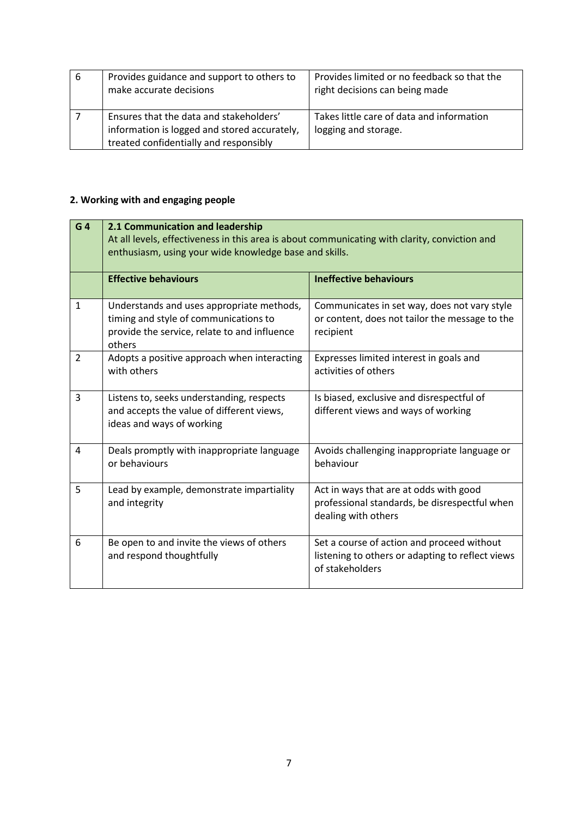| 6 | Provides guidance and support to others to<br>make accurate decisions                                                             | Provides limited or no feedback so that the<br>right decisions can being made |
|---|-----------------------------------------------------------------------------------------------------------------------------------|-------------------------------------------------------------------------------|
|   | Ensures that the data and stakeholders'<br>information is logged and stored accurately,<br>treated confidentially and responsibly | Takes little care of data and information<br>logging and storage.             |

# **2. Working with and engaging people**

| G <sub>4</sub> | 2.1 Communication and leadership<br>At all levels, effectiveness in this area is about communicating with clarity, conviction and<br>enthusiasm, using your wide knowledge base and skills. |                                                                                                                   |
|----------------|---------------------------------------------------------------------------------------------------------------------------------------------------------------------------------------------|-------------------------------------------------------------------------------------------------------------------|
|                | <b>Effective behaviours</b>                                                                                                                                                                 | <b>Ineffective behaviours</b>                                                                                     |
| 1              | Understands and uses appropriate methods,<br>timing and style of communications to<br>provide the service, relate to and influence<br>others                                                | Communicates in set way, does not vary style<br>or content, does not tailor the message to the<br>recipient       |
| $\overline{2}$ | Adopts a positive approach when interacting<br>with others                                                                                                                                  | Expresses limited interest in goals and<br>activities of others                                                   |
| 3              | Listens to, seeks understanding, respects<br>and accepts the value of different views,<br>ideas and ways of working                                                                         | Is biased, exclusive and disrespectful of<br>different views and ways of working                                  |
| 4              | Deals promptly with inappropriate language<br>or behaviours                                                                                                                                 | Avoids challenging inappropriate language or<br>behaviour                                                         |
| 5              | Lead by example, demonstrate impartiality<br>and integrity                                                                                                                                  | Act in ways that are at odds with good<br>professional standards, be disrespectful when<br>dealing with others    |
| 6              | Be open to and invite the views of others<br>and respond thoughtfully                                                                                                                       | Set a course of action and proceed without<br>listening to others or adapting to reflect views<br>of stakeholders |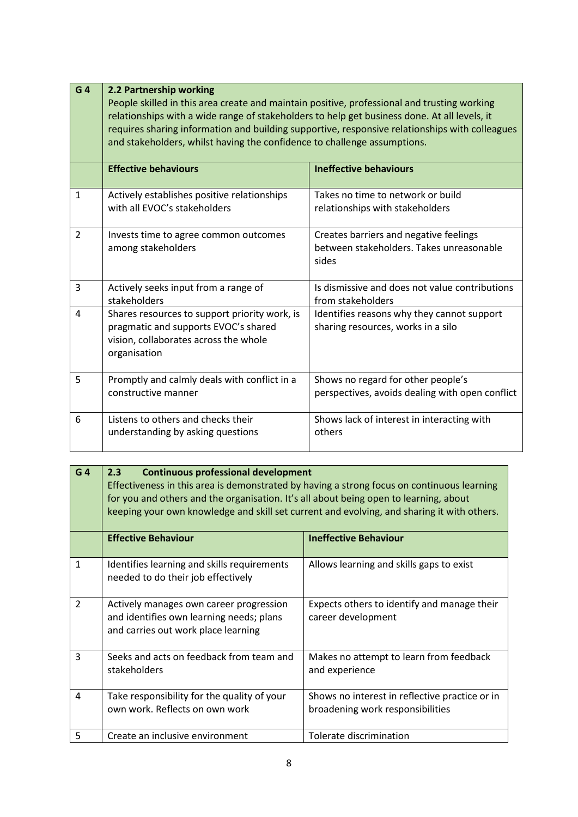| G <sub>4</sub> | 2.2 Partnership working<br>People skilled in this area create and maintain positive, professional and trusting working<br>relationships with a wide range of stakeholders to help get business done. At all levels, it<br>requires sharing information and building supportive, responsive relationships with colleagues<br>and stakeholders, whilst having the confidence to challenge assumptions. |                                                                                             |
|----------------|------------------------------------------------------------------------------------------------------------------------------------------------------------------------------------------------------------------------------------------------------------------------------------------------------------------------------------------------------------------------------------------------------|---------------------------------------------------------------------------------------------|
|                | <b>Effective behaviours</b>                                                                                                                                                                                                                                                                                                                                                                          | <b>Ineffective behaviours</b>                                                               |
| $\mathbf{1}$   | Actively establishes positive relationships<br>with all EVOC's stakeholders                                                                                                                                                                                                                                                                                                                          | Takes no time to network or build<br>relationships with stakeholders                        |
| $\overline{2}$ | Invests time to agree common outcomes<br>among stakeholders                                                                                                                                                                                                                                                                                                                                          | Creates barriers and negative feelings<br>between stakeholders. Takes unreasonable<br>sides |
| 3              | Actively seeks input from a range of<br>stakeholders                                                                                                                                                                                                                                                                                                                                                 | Is dismissive and does not value contributions<br>from stakeholders                         |
| $\overline{4}$ | Shares resources to support priority work, is<br>pragmatic and supports EVOC's shared<br>vision, collaborates across the whole<br>organisation                                                                                                                                                                                                                                                       | Identifies reasons why they cannot support<br>sharing resources, works in a silo            |
| 5              | Promptly and calmly deals with conflict in a<br>constructive manner                                                                                                                                                                                                                                                                                                                                  | Shows no regard for other people's<br>perspectives, avoids dealing with open conflict       |
| 6              | Listens to others and checks their<br>understanding by asking questions                                                                                                                                                                                                                                                                                                                              | Shows lack of interest in interacting with<br>others                                        |

| G <sub>4</sub> | 2.3<br><b>Continuous professional development</b><br>Effectiveness in this area is demonstrated by having a strong focus on continuous learning<br>for you and others and the organisation. It's all about being open to learning, about<br>keeping your own knowledge and skill set current and evolving, and sharing it with others. |                                                                                    |
|----------------|----------------------------------------------------------------------------------------------------------------------------------------------------------------------------------------------------------------------------------------------------------------------------------------------------------------------------------------|------------------------------------------------------------------------------------|
|                | <b>Effective Behaviour</b>                                                                                                                                                                                                                                                                                                             | <b>Ineffective Behaviour</b>                                                       |
| $\mathbf{1}$   | Identifies learning and skills requirements<br>needed to do their job effectively                                                                                                                                                                                                                                                      | Allows learning and skills gaps to exist                                           |
| $\overline{2}$ | Actively manages own career progression<br>and identifies own learning needs; plans<br>and carries out work place learning                                                                                                                                                                                                             | Expects others to identify and manage their<br>career development                  |
| 3              | Seeks and acts on feedback from team and<br>stakeholders                                                                                                                                                                                                                                                                               | Makes no attempt to learn from feedback<br>and experience                          |
| 4              | Take responsibility for the quality of your<br>own work. Reflects on own work                                                                                                                                                                                                                                                          | Shows no interest in reflective practice or in<br>broadening work responsibilities |
| 5              | Create an inclusive environment                                                                                                                                                                                                                                                                                                        | Tolerate discrimination                                                            |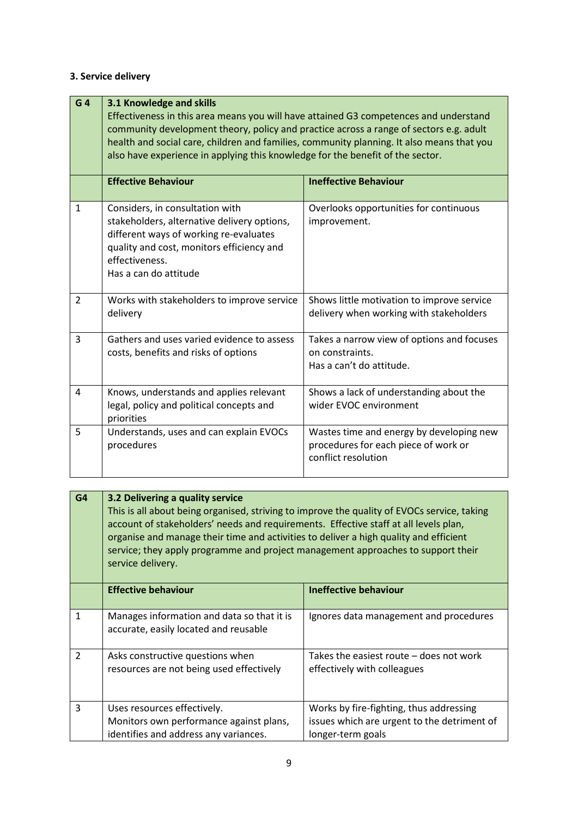# **3. Service delivery**

| G <sub>4</sub> | 3.1 Knowledge and skills<br>Effectiveness in this area means you will have attained G3 competences and understand<br>community development theory, policy and practice across a range of sectors e.g. adult<br>health and social care, children and families, community planning. It also means that you<br>also have experience in applying this knowledge for the benefit of the sector. |                                                                                                         |
|----------------|--------------------------------------------------------------------------------------------------------------------------------------------------------------------------------------------------------------------------------------------------------------------------------------------------------------------------------------------------------------------------------------------|---------------------------------------------------------------------------------------------------------|
|                | <b>Effective Behaviour</b>                                                                                                                                                                                                                                                                                                                                                                 | <b>Ineffective Behaviour</b>                                                                            |
| $\mathbf{1}$   | Considers, in consultation with<br>stakeholders, alternative delivery options,<br>different ways of working re-evaluates<br>quality and cost, monitors efficiency and<br>effectiveness.<br>Has a can do attitude                                                                                                                                                                           | Overlooks opportunities for continuous<br>improvement.                                                  |
| $\overline{2}$ | Works with stakeholders to improve service<br>delivery                                                                                                                                                                                                                                                                                                                                     | Shows little motivation to improve service<br>delivery when working with stakeholders                   |
| 3              | Gathers and uses varied evidence to assess<br>costs, benefits and risks of options                                                                                                                                                                                                                                                                                                         | Takes a narrow view of options and focuses<br>on constraints.<br>Has a can't do attitude.               |
| 4              | Knows, understands and applies relevant<br>legal, policy and political concepts and<br>priorities                                                                                                                                                                                                                                                                                          | Shows a lack of understanding about the<br>wider EVOC environment                                       |
| 5              | Understands, uses and can explain EVOCs<br>procedures                                                                                                                                                                                                                                                                                                                                      | Wastes time and energy by developing new<br>procedures for each piece of work or<br>conflict resolution |

| G4             | 3.2 Delivering a quality service<br>This is all about being organised, striving to improve the quality of EVOCs service, taking<br>account of stakeholders' needs and requirements. Effective staff at all levels plan,<br>organise and manage their time and activities to deliver a high quality and efficient<br>service; they apply programme and project management approaches to support their<br>service delivery. |                                                                                                             |
|----------------|---------------------------------------------------------------------------------------------------------------------------------------------------------------------------------------------------------------------------------------------------------------------------------------------------------------------------------------------------------------------------------------------------------------------------|-------------------------------------------------------------------------------------------------------------|
|                | <b>Effective behaviour</b>                                                                                                                                                                                                                                                                                                                                                                                                | <b>Ineffective behaviour</b>                                                                                |
| $\mathbf{1}$   | Manages information and data so that it is<br>accurate, easily located and reusable                                                                                                                                                                                                                                                                                                                                       | Ignores data management and procedures                                                                      |
| $\overline{2}$ | Asks constructive questions when<br>resources are not being used effectively                                                                                                                                                                                                                                                                                                                                              | Takes the easiest route – does not work<br>effectively with colleagues                                      |
| 3              | Uses resources effectively.<br>Monitors own performance against plans,<br>identifies and address any variances.                                                                                                                                                                                                                                                                                                           | Works by fire-fighting, thus addressing<br>issues which are urgent to the detriment of<br>longer-term goals |